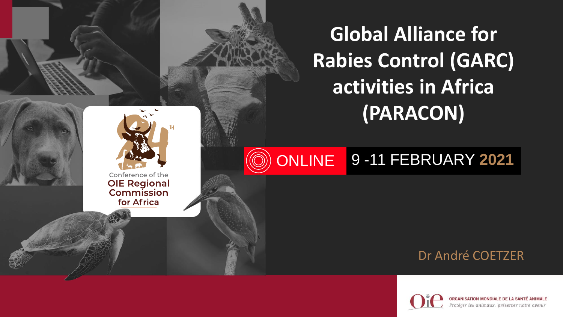

#### **ONLINE** 9 -11 FEBRUARY **2021**

Conference of the **OIE Regional**<br>Commission for Africa

#### Dr André COETZER



**ISATION MONDIALE DE LA SANTÉ ANIMALE** Protéger les animaux, préserver notre avenir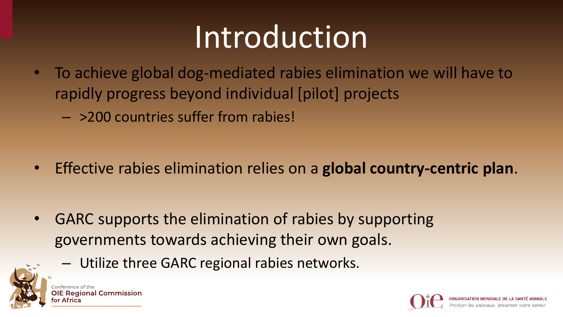## Introduction

- To achieve global dog-mediated rabies elimination we will have to rapidly progress beyond individual [pilot] projects
	- >200 countries suffer from rabies!

• Effective rabies elimination relies on a **global country-centric plan**.

• GARC supports the elimination of rabies by supporting governments towards achieving their own goals.





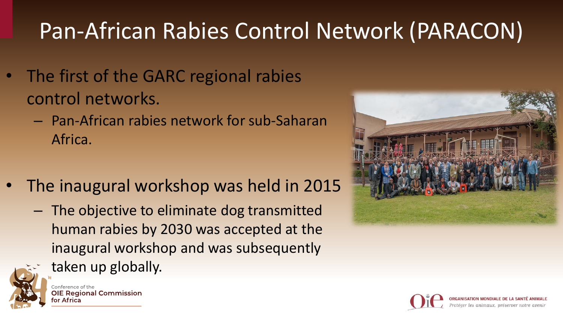## Pan-African Rabies Control Network (PARACON)

- The first of the GARC regional rabies control networks.
	- Pan-African rabies network for sub-Saharan Africa.
- The inaugural workshop was held in 2015
	- The objective to eliminate dog transmitted human rabies by 2030 was accepted at the inaugural workshop and was subsequently taken up globally.





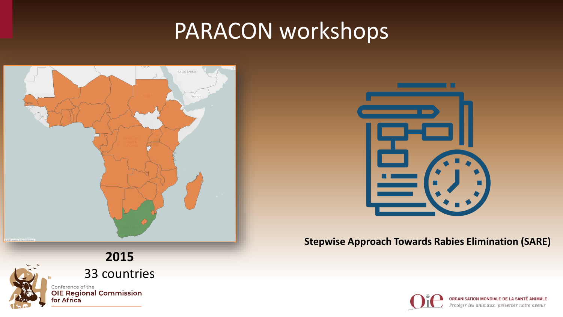



#### **Stepwise Approach Towards Rabies Elimination (SARE)**



ORGANISATION MONDIALE DE LA SANTÉ ANIMALE Protéger les animaux, préserver notre avenir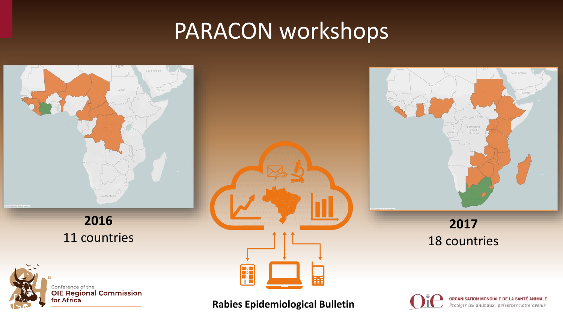

#### **Rabies Epidemiological Bulletin**

for Africa

ORGANISATION MONDIALE DE LA SANTÉ ANIMALE Protéger les animaux, préserver notre avenir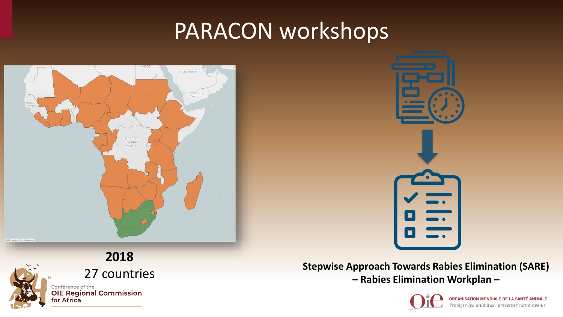



27 countries **Stepwise Approach Towards Rabies Elimination (SARE) – Rabies Elimination Workplan –**



ORGANISATION MONDIALE DE LA SANTÉ ANIMALE Protéger les animaux, préserver notre avenir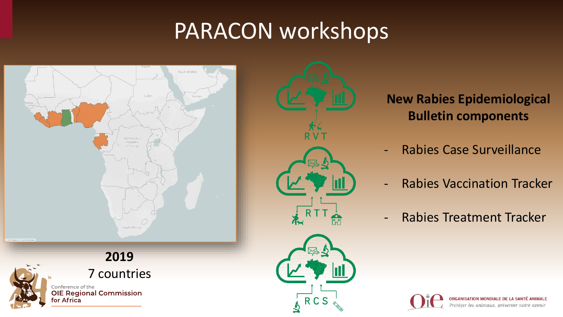



#### **New Rabies Epidemiological Bulletin components**

- Rabies Case Surveillance
- Rabies Vaccination Tracker
- Rabies Treatment Tracker

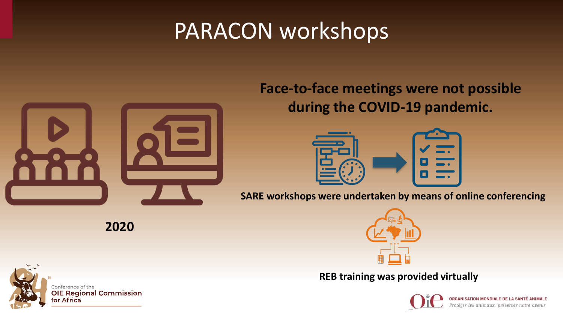

**Face-to-face meetings were not possible during the COVID-19 pandemic.** 



**SARE workshops were undertaken by means of online conferencing**



**REB training was provided virtually**



**ION MONDIALE DE LA SANTÉ** 



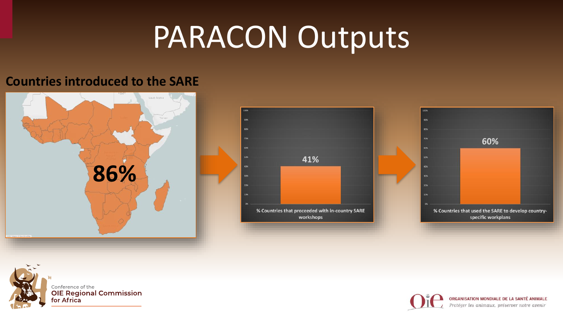## PARACON Outputs

#### **Countries introduced to the SARE**









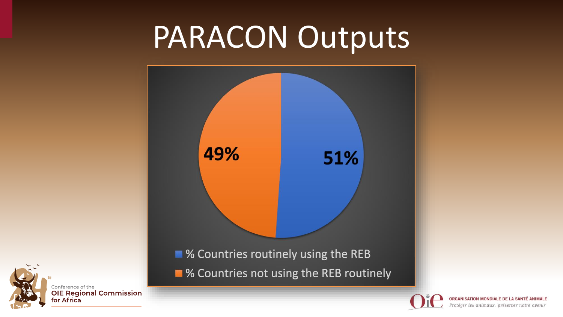## PARACON Outputs